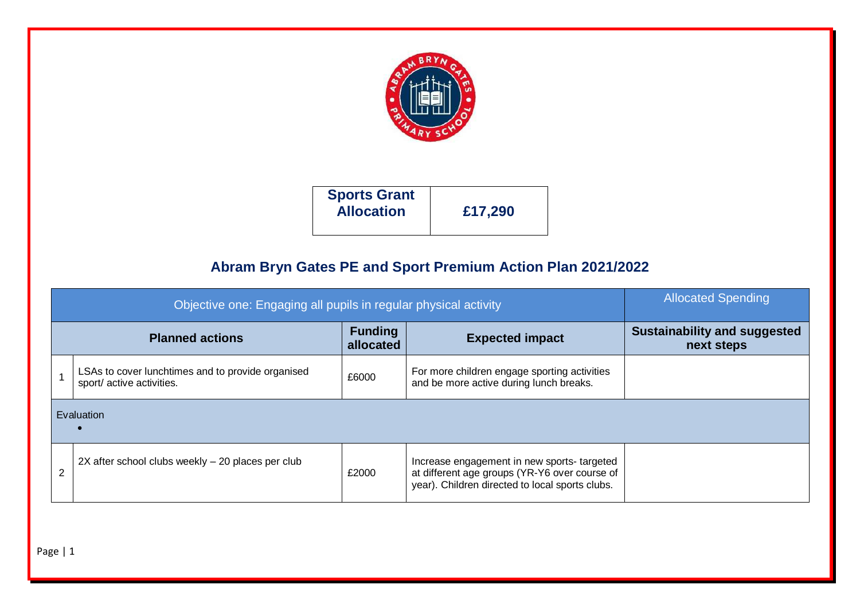

| <b>Sports Grant</b><br><b>Allocation</b> | £17,290 |
|------------------------------------------|---------|
|                                          |         |

## **Abram Bryn Gates PE and Sport Premium Action Plan 2021/2022**

|                | Objective one: Engaging all pupils in regular physical activity                | <b>Allocated Spending</b>                         |                                                                                                                                                |  |
|----------------|--------------------------------------------------------------------------------|---------------------------------------------------|------------------------------------------------------------------------------------------------------------------------------------------------|--|
|                | <b>Planned actions</b>                                                         | <b>Sustainability and suggested</b><br>next steps |                                                                                                                                                |  |
|                | LSAs to cover lunchtimes and to provide organised<br>sport/ active activities. | £6000                                             | For more children engage sporting activities<br>and be more active during lunch breaks.                                                        |  |
|                | Evaluation                                                                     |                                                   |                                                                                                                                                |  |
| $\overline{2}$ | 2X after school clubs weekly - 20 places per club                              | £2000                                             | Increase engagement in new sports-targeted<br>at different age groups (YR-Y6 over course of<br>year). Children directed to local sports clubs. |  |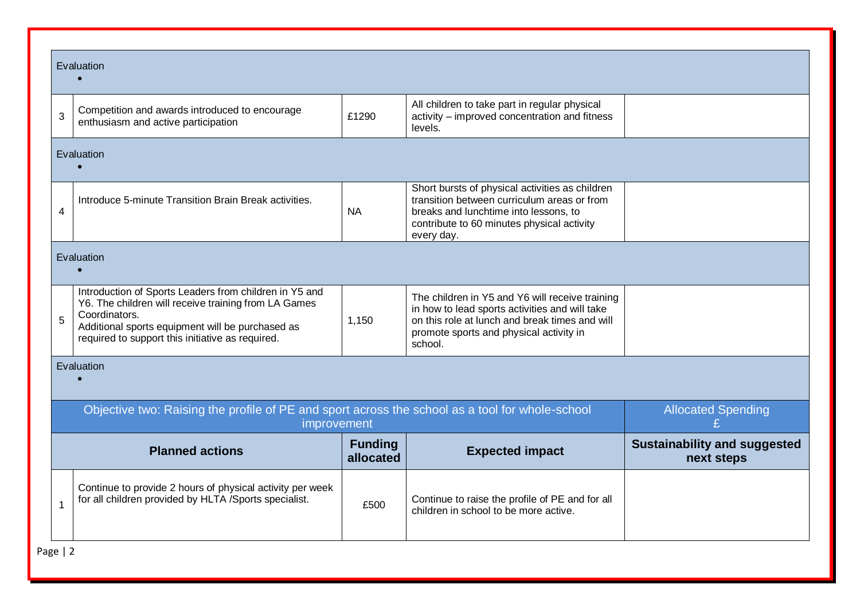|                | Evaluation                                                                                                                                                                                                                              |                             |                                                                                                                                                                                                           |                                                   |  |
|----------------|-----------------------------------------------------------------------------------------------------------------------------------------------------------------------------------------------------------------------------------------|-----------------------------|-----------------------------------------------------------------------------------------------------------------------------------------------------------------------------------------------------------|---------------------------------------------------|--|
| 3              | Competition and awards introduced to encourage<br>enthusiasm and active participation                                                                                                                                                   | £1290                       | All children to take part in regular physical<br>activity – improved concentration and fitness<br>levels.                                                                                                 |                                                   |  |
|                | Evaluation                                                                                                                                                                                                                              |                             |                                                                                                                                                                                                           |                                                   |  |
| $\overline{4}$ | Introduce 5-minute Transition Brain Break activities.                                                                                                                                                                                   | <b>NA</b>                   | Short bursts of physical activities as children<br>transition between curriculum areas or from<br>breaks and lunchtime into lessons, to<br>contribute to 60 minutes physical activity<br>every day.       |                                                   |  |
|                | Evaluation                                                                                                                                                                                                                              |                             |                                                                                                                                                                                                           |                                                   |  |
| 5              | Introduction of Sports Leaders from children in Y5 and<br>Y6. The children will receive training from LA Games<br>Coordinators.<br>Additional sports equipment will be purchased as<br>required to support this initiative as required. | 1,150                       | The children in Y5 and Y6 will receive training<br>in how to lead sports activities and will take<br>on this role at lunch and break times and will<br>promote sports and physical activity in<br>school. |                                                   |  |
|                | Evaluation                                                                                                                                                                                                                              |                             |                                                                                                                                                                                                           |                                                   |  |
|                | Objective two: Raising the profile of PE and sport across the school as a tool for whole-school<br>improvement                                                                                                                          |                             | <b>Allocated Spending</b>                                                                                                                                                                                 |                                                   |  |
|                | <b>Planned actions</b>                                                                                                                                                                                                                  | <b>Funding</b><br>allocated | <b>Expected impact</b>                                                                                                                                                                                    | <b>Sustainability and suggested</b><br>next steps |  |
| $\overline{1}$ | Continue to provide 2 hours of physical activity per week<br>for all children provided by HLTA /Sports specialist.                                                                                                                      | £500                        | Continue to raise the profile of PE and for all<br>children in school to be more active.                                                                                                                  |                                                   |  |

Page | 2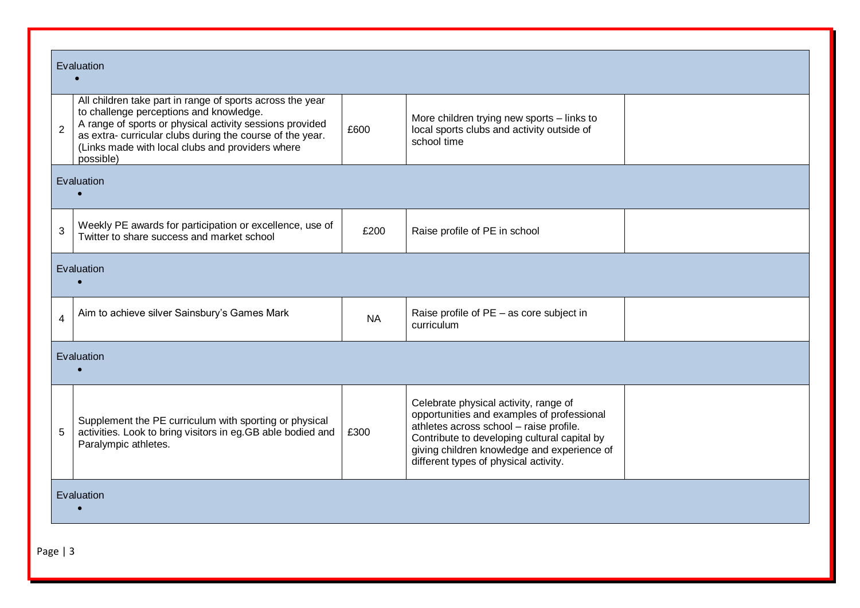|                | Evaluation                                                                                                                                                                                                                                                                                    |           |                                                                                                                                                                                                                                                                        |  |  |  |
|----------------|-----------------------------------------------------------------------------------------------------------------------------------------------------------------------------------------------------------------------------------------------------------------------------------------------|-----------|------------------------------------------------------------------------------------------------------------------------------------------------------------------------------------------------------------------------------------------------------------------------|--|--|--|
| $\overline{2}$ | All children take part in range of sports across the year<br>to challenge perceptions and knowledge.<br>A range of sports or physical activity sessions provided<br>as extra-curricular clubs during the course of the year.<br>(Links made with local clubs and providers where<br>possible) | £600      | More children trying new sports - links to<br>local sports clubs and activity outside of<br>school time                                                                                                                                                                |  |  |  |
|                | Evaluation                                                                                                                                                                                                                                                                                    |           |                                                                                                                                                                                                                                                                        |  |  |  |
| 3              | Weekly PE awards for participation or excellence, use of<br>Twitter to share success and market school                                                                                                                                                                                        | £200      | Raise profile of PE in school                                                                                                                                                                                                                                          |  |  |  |
| Evaluation     |                                                                                                                                                                                                                                                                                               |           |                                                                                                                                                                                                                                                                        |  |  |  |
| $\overline{4}$ | Aim to achieve silver Sainsbury's Games Mark                                                                                                                                                                                                                                                  | <b>NA</b> | Raise profile of PE - as core subject in<br>curriculum                                                                                                                                                                                                                 |  |  |  |
|                | Evaluation                                                                                                                                                                                                                                                                                    |           |                                                                                                                                                                                                                                                                        |  |  |  |
| 5              | Supplement the PE curriculum with sporting or physical<br>activities. Look to bring visitors in eg.GB able bodied and<br>Paralympic athletes.                                                                                                                                                 | £300      | Celebrate physical activity, range of<br>opportunities and examples of professional<br>athletes across school - raise profile.<br>Contribute to developing cultural capital by<br>giving children knowledge and experience of<br>different types of physical activity. |  |  |  |
|                | Evaluation                                                                                                                                                                                                                                                                                    |           |                                                                                                                                                                                                                                                                        |  |  |  |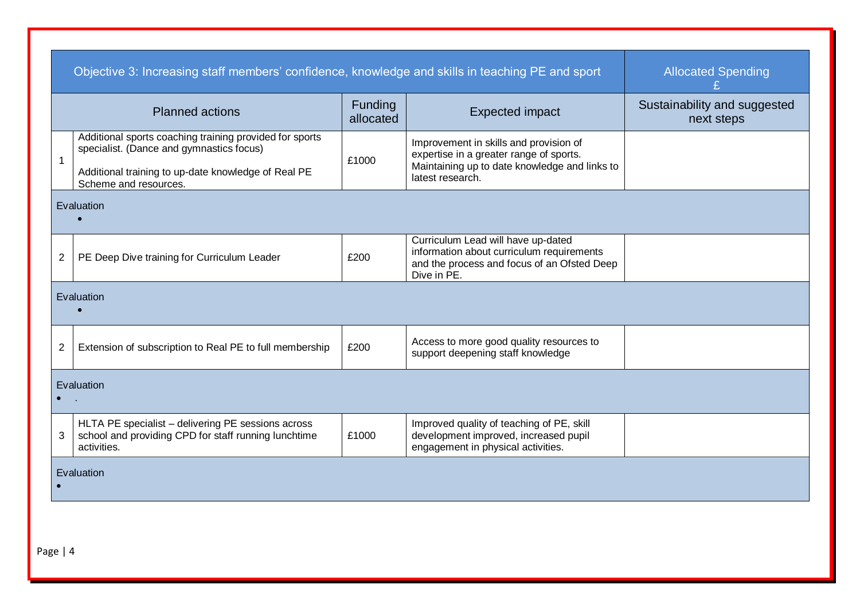|                | Objective 3: Increasing staff members' confidence, knowledge and skills in teaching PE and sport                          | <b>Allocated Spending</b> |                                                                                                                                               |                                            |  |  |
|----------------|---------------------------------------------------------------------------------------------------------------------------|---------------------------|-----------------------------------------------------------------------------------------------------------------------------------------------|--------------------------------------------|--|--|
|                | <b>Planned actions</b>                                                                                                    | Funding<br>allocated      | <b>Expected impact</b>                                                                                                                        | Sustainability and suggested<br>next steps |  |  |
| 1              | Additional sports coaching training provided for sports<br>specialist. (Dance and gymnastics focus)                       | £1000                     | Improvement in skills and provision of<br>expertise in a greater range of sports.                                                             |                                            |  |  |
|                | Additional training to up-date knowledge of Real PE<br>Scheme and resources.                                              |                           | Maintaining up to date knowledge and links to<br>latest research.                                                                             |                                            |  |  |
| Evaluation     |                                                                                                                           |                           |                                                                                                                                               |                                            |  |  |
| $\overline{2}$ | PE Deep Dive training for Curriculum Leader                                                                               | £200                      | Curriculum Lead will have up-dated<br>information about curriculum requirements<br>and the process and focus of an Ofsted Deep<br>Dive in PE. |                                            |  |  |
|                | Evaluation                                                                                                                |                           |                                                                                                                                               |                                            |  |  |
| $\overline{2}$ | Extension of subscription to Real PE to full membership                                                                   | £200                      | Access to more good quality resources to<br>support deepening staff knowledge                                                                 |                                            |  |  |
|                | Evaluation                                                                                                                |                           |                                                                                                                                               |                                            |  |  |
| $\mathbf{3}$   | HLTA PE specialist - delivering PE sessions across<br>school and providing CPD for staff running lunchtime<br>activities. | £1000                     | Improved quality of teaching of PE, skill<br>development improved, increased pupil<br>engagement in physical activities.                      |                                            |  |  |
|                | Evaluation                                                                                                                |                           |                                                                                                                                               |                                            |  |  |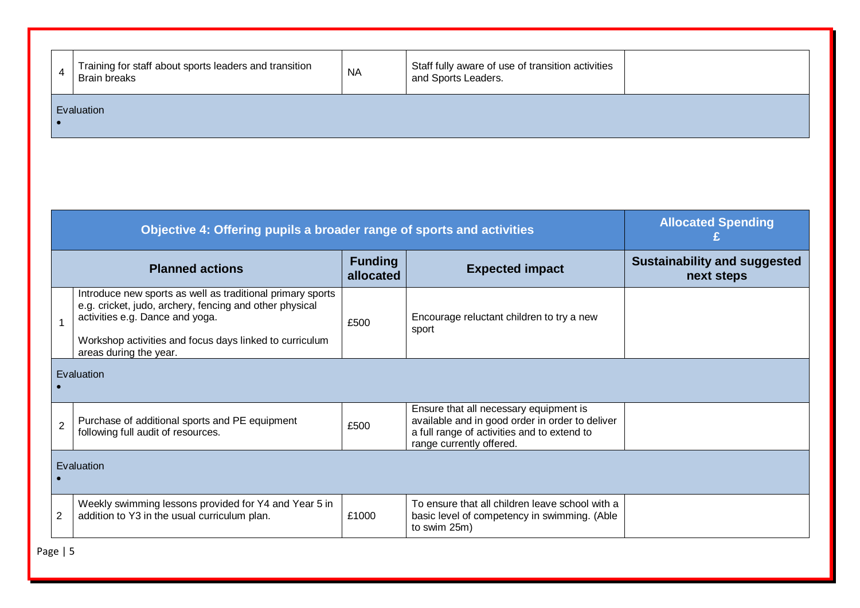| 4 | Training for staff about sports leaders and transition<br><b>Brain breaks</b> | <b>NA</b> | Staff fully aware of use of transition activities<br>and Sports Leaders. |  |
|---|-------------------------------------------------------------------------------|-----------|--------------------------------------------------------------------------|--|
|   | Evaluation                                                                    |           |                                                                          |  |

|                                                       | Objective 4: Offering pupils a broader range of sports and activities                                                                                                                                                                         | <b>Allocated Spending</b> |                                                                                                                                                                      |                                                   |
|-------------------------------------------------------|-----------------------------------------------------------------------------------------------------------------------------------------------------------------------------------------------------------------------------------------------|---------------------------|----------------------------------------------------------------------------------------------------------------------------------------------------------------------|---------------------------------------------------|
| <b>Funding</b><br><b>Planned actions</b><br>allocated |                                                                                                                                                                                                                                               |                           | <b>Expected impact</b>                                                                                                                                               | <b>Sustainability and suggested</b><br>next steps |
|                                                       | Introduce new sports as well as traditional primary sports<br>e.g. cricket, judo, archery, fencing and other physical<br>activities e.g. Dance and yoga.<br>Workshop activities and focus days linked to curriculum<br>areas during the year. | £500                      | Encourage reluctant children to try a new<br>sport                                                                                                                   |                                                   |
| Evaluation                                            |                                                                                                                                                                                                                                               |                           |                                                                                                                                                                      |                                                   |
| $\overline{2}$                                        | Purchase of additional sports and PE equipment<br>following full audit of resources.                                                                                                                                                          | £500                      | Ensure that all necessary equipment is<br>available and in good order in order to deliver<br>a full range of activities and to extend to<br>range currently offered. |                                                   |
| Evaluation                                            |                                                                                                                                                                                                                                               |                           |                                                                                                                                                                      |                                                   |
|                                                       | Weekly swimming lessons provided for Y4 and Year 5 in<br>addition to Y3 in the usual curriculum plan.                                                                                                                                         | £1000                     | To ensure that all children leave school with a<br>basic level of competency in swimming. (Able<br>to swim 25m)                                                      |                                                   |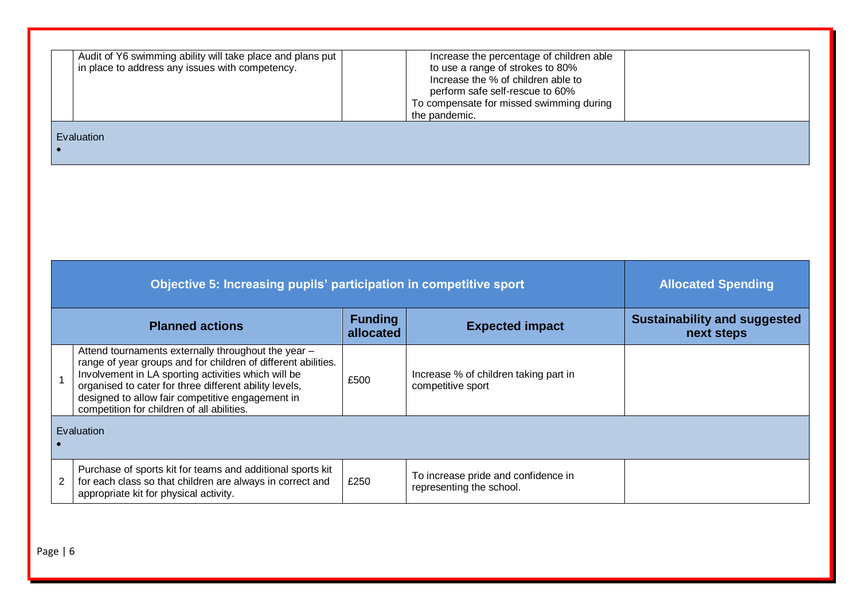|  | Increase the % of children able to<br>perform safe self-rescue to 60%<br>To compensate for missed swimming during<br>the pandemic. |  |
|--|------------------------------------------------------------------------------------------------------------------------------------|--|
|--|------------------------------------------------------------------------------------------------------------------------------------|--|

| $\mathcal{L}(\mathcal{L})$ and $\mathcal{L}(\mathcal{L})$ and $\mathcal{L}(\mathcal{L})$ and $\mathcal{L}(\mathcal{L})$                                                                                                                                                  | <b>Service Service</b> | <b>STEP</b><br>×<br>- 1<br><b>Service Service</b> |
|--------------------------------------------------------------------------------------------------------------------------------------------------------------------------------------------------------------------------------------------------------------------------|------------------------|---------------------------------------------------|
| <b>Service Service</b><br><b>Contract Contract Contract Contract Contract Contract Contract Contract Contract Contract Contract Contract Co</b><br><b>Contract Contract Contract Contract Contract Contract Contract Contract Contract Contract Contract Contract Co</b> |                        |                                                   |

|            | Objective 5: Increasing pupils' participation in competitive sport                                                                                                                                                                                                                                                                      | <b>Allocated Spending</b>   |                                                                 |                                                   |
|------------|-----------------------------------------------------------------------------------------------------------------------------------------------------------------------------------------------------------------------------------------------------------------------------------------------------------------------------------------|-----------------------------|-----------------------------------------------------------------|---------------------------------------------------|
|            | <b>Planned actions</b>                                                                                                                                                                                                                                                                                                                  | <b>Funding</b><br>allocated | <b>Expected impact</b>                                          | <b>Sustainability and suggested</b><br>next steps |
|            | Attend tournaments externally throughout the year -<br>range of year groups and for children of different abilities.<br>Involvement in LA sporting activities which will be<br>organised to cater for three different ability levels,<br>designed to allow fair competitive engagement in<br>competition for children of all abilities. | £500                        | Increase % of children taking part in<br>competitive sport      |                                                   |
| Evaluation |                                                                                                                                                                                                                                                                                                                                         |                             |                                                                 |                                                   |
|            | Purchase of sports kit for teams and additional sports kit<br>for each class so that children are always in correct and<br>appropriate kit for physical activity.                                                                                                                                                                       | £250                        | To increase pride and confidence in<br>representing the school. |                                                   |